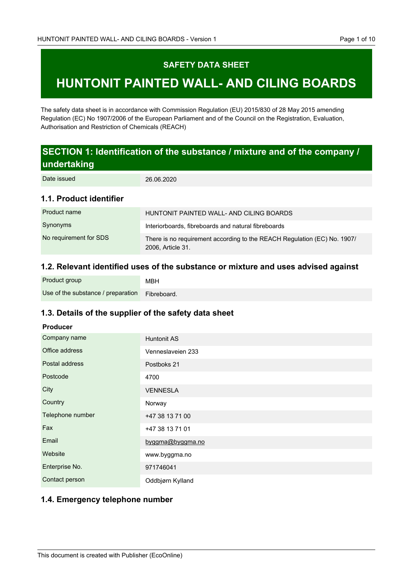## **SAFETY DATA SHEET**

# **HUNTONIT PAINTED WALL- AND CILING BOARDS**

The safety data sheet is in accordance with Commission Regulation (EU) 2015/830 of 28 May 2015 amending Regulation (EC) No 1907/2006 of the European Parliament and of the Council on the Registration, Evaluation, Authorisation and Restriction of Chemicals (REACH)

# **SECTION 1: Identification of the substance / mixture and of the company / undertaking**

Date issued

26.06.2020

## **1.1. Product identifier**

| Product name           | HUNTONIT PAINTED WALL- AND CILING BOARDS                                                      |
|------------------------|-----------------------------------------------------------------------------------------------|
| Synonyms               | Interiorboards, fibreboards and natural fibreboards                                           |
| No requirement for SDS | There is no requirement according to the REACH Regulation (EC) No. 1907/<br>2006, Article 31. |

## **1.2. Relevant identified uses of the substance or mixture and uses advised against**

| Product group                                  | <b>MBH</b> |
|------------------------------------------------|------------|
| Use of the substance / preparation Fibreboard. |            |

## **1.3. Details of the supplier of the safety data sheet**

#### **Producer**

| Company name     | <b>Huntonit AS</b> |
|------------------|--------------------|
| Office address   | Venneslaveien 233  |
| Postal address   | Postboks 21        |
| Postcode         | 4700               |
| City             | <b>VENNESLA</b>    |
| Country          | Norway             |
| Telephone number | +47 38 13 71 00    |
| Fax              | +47 38 13 71 01    |
| Email            | byggma@byggma.no   |
| Website          | www.byggma.no      |
| Enterprise No.   | 971746041          |
| Contact person   | Oddbjørn Kylland   |

### **1.4. Emergency telephone number**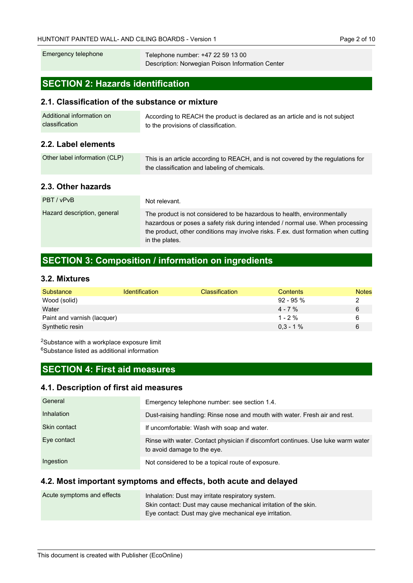| Emergency telephone | Telephone number: +47 22 59 13 00                |
|---------------------|--------------------------------------------------|
|                     | Description: Norwegian Poison Information Center |

# **SECTION 2: Hazards identification**

#### **2.1. Classification of the substance or mixture**

| Additional information on | According to REACH the product is declared as an article and is not subject |
|---------------------------|-----------------------------------------------------------------------------|
| classification            | to the provisions of classification.                                        |

## **2.2. Label elements**

| Other label information (CLP) | This is an article according to REACH, and is not covered by the regulations for |
|-------------------------------|----------------------------------------------------------------------------------|
|                               | the classification and labeling of chemicals.                                    |

## **2.3. Other hazards**

| PBT / vPvB                  | Not relevant.                                                                                                                                                                                                                                                      |
|-----------------------------|--------------------------------------------------------------------------------------------------------------------------------------------------------------------------------------------------------------------------------------------------------------------|
| Hazard description, general | The product is not considered to be hazardous to health, environmentally<br>hazardous or poses a safety risk during intended / normal use. When processing<br>the product, other conditions may involve risks. F.ex. dust formation when cutting<br>in the plates. |

## **SECTION 3: Composition / information on ingredients**

### **3.2. Mixtures**

| Substance                   | <b>Identification</b> | <b>Classification</b> | Contents    | <b>Notes</b> |
|-----------------------------|-----------------------|-----------------------|-------------|--------------|
| Wood (solid)                |                       |                       | 92 - 95 %   |              |
| Water                       |                       |                       | $4 - 7\%$   | 6            |
| Paint and varnish (lacquer) |                       |                       | $1 - 2\%$   |              |
| Synthetic resin             |                       |                       | $0.3 - 1\%$ | 6            |

<sup>2</sup>Substance with a workplace exposure limit <sup>6</sup>Substance listed as additional information

## **SECTION 4: First aid measures**

### **4.1. Description of first aid measures**

| General      | Emergency telephone number: see section 1.4.                                                                    |
|--------------|-----------------------------------------------------------------------------------------------------------------|
| Inhalation   | Dust-raising handling: Rinse nose and mouth with water. Fresh air and rest.                                     |
| Skin contact | If uncomfortable: Wash with soap and water.                                                                     |
| Eye contact  | Rinse with water. Contact physician if discomfort continues. Use luke warm water<br>to avoid damage to the eye. |
| Ingestion    | Not considered to be a topical route of exposure.                                                               |

### **4.2. Most important symptoms and effects, both acute and delayed**

| Acute symptoms and effects | Inhalation: Dust may irritate respiratory system.               |
|----------------------------|-----------------------------------------------------------------|
|                            | Skin contact: Dust may cause mechanical irritation of the skin. |
|                            | Eye contact: Dust may give mechanical eye irritation.           |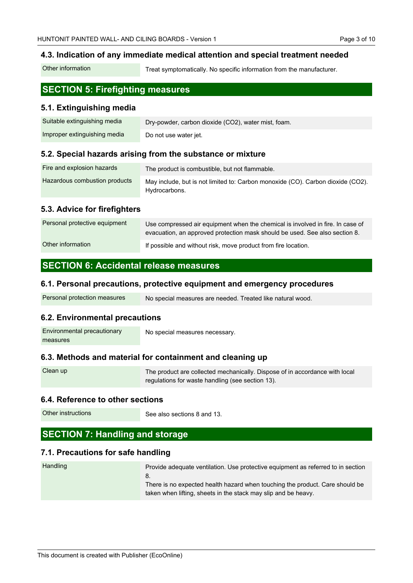### **4.3. Indication of any immediate medical attention and special treatment needed**

Treat symptomatically. No specific information from the manufacturer. Other information

## **SECTION 5: Firefighting measures**

### **5.1. Extinguishing media**

| Suitable extinguishing media | Dry-powder, carbon dioxide (CO2), water mist, foam. |
|------------------------------|-----------------------------------------------------|
| Improper extinguishing media | Do not use water jet.                               |

### **5.2. Special hazards arising from the substance or mixture**

| Fire and explosion hazards    | The product is combustible, but not flammable.                                  |
|-------------------------------|---------------------------------------------------------------------------------|
| Hazardous combustion products | May include, but is not limited to: Carbon monoxide (CO). Carbon dioxide (CO2). |
|                               | Hydrocarbons.                                                                   |

### **5.3. Advice for firefighters**

| Personal protective equipment | Use compressed air equipment when the chemical is involved in fire. In case of<br>evacuation, an approved protection mask should be used. See also section 8. |
|-------------------------------|---------------------------------------------------------------------------------------------------------------------------------------------------------------|
| Other information             | If possible and without risk, move product from fire location.                                                                                                |

### **SECTION 6: Accidental release measures**

#### **6.1. Personal precautions, protective equipment and emergency procedures**

| Personal protection measures | No special measures are needed. Treated like natural wood. |
|------------------------------|------------------------------------------------------------|
|------------------------------|------------------------------------------------------------|

#### **6.2. Environmental precautions**

| Environmental precautionary | No special measures necessary. |
|-----------------------------|--------------------------------|
| measures                    |                                |

### **6.3. Methods and material for containment and cleaning up**

| Clean up | The product are collected mechanically. Dispose of in accordance with local |
|----------|-----------------------------------------------------------------------------|
|          | regulations for waste handling (see section 13).                            |

#### **6.4. Reference to other sections**

Other instructions

See also sections 8 and 13.

## **SECTION 7: Handling and storage**

### **7.1. Precautions for safe handling**

| Handling | Provide adequate ventilation. Use protective equipment as referred to in section |
|----------|----------------------------------------------------------------------------------|
|          | 8.                                                                               |
|          | There is no expected health hazard when touching the product. Care should be     |
|          | taken when lifting, sheets in the stack may slip and be heavy.                   |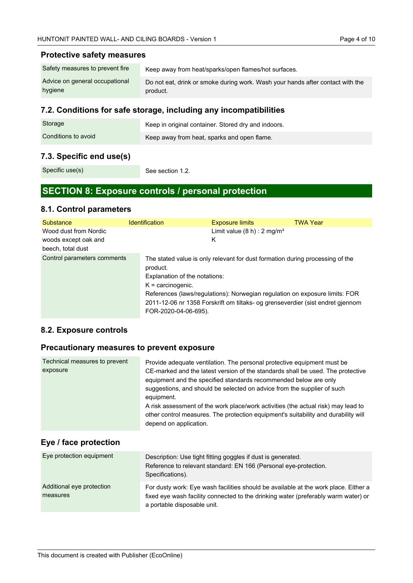### **Protective safety measures**

| Safety measures to prevent fire | Keep away from heat/sparks/open flames/hot surfaces.                           |
|---------------------------------|--------------------------------------------------------------------------------|
| Advice on general occupational  | Do not eat, drink or smoke during work. Wash your hands after contact with the |
| hygiene                         | product.                                                                       |

### **7.2. Conditions for safe storage, including any incompatibilities**

| Storage             | Keep in original container. Stored dry and indoors. |
|---------------------|-----------------------------------------------------|
| Conditions to avoid | Keep away from heat, sparks and open flame.         |

### **7.3. Specific end use(s)**

Specific use(s)

See section 1.2.

## **SECTION 8: Exposure controls / personal protection**

### **8.1. Control parameters**

| Substance                                                          | <b>Identification</b>                                                                    | <b>Exposure limits</b>                                                                                                                                                                                                                         | <b>TWA Year</b> |
|--------------------------------------------------------------------|------------------------------------------------------------------------------------------|------------------------------------------------------------------------------------------------------------------------------------------------------------------------------------------------------------------------------------------------|-----------------|
| Wood dust from Nordic<br>woods except oak and<br>beech, total dust |                                                                                          | Limit value $(8 h)$ : 2 mg/m <sup>3</sup><br>Κ                                                                                                                                                                                                 |                 |
| Control parameters comments                                        | product.<br>Explanation of the notations:<br>$K =$ carcinogenic.<br>FOR-2020-04-06-695). | The stated value is only relevant for dust formation during processing of the<br>References (laws/regulations): Norwegian regulation on exposure limits: FOR<br>2011-12-06 nr 1358 Forskrift om tiltaks- og grenseverdier (sist endret gjennom |                 |

### **8.2. Exposure controls**

### **Precautionary measures to prevent exposure**

| Technical measures to prevent<br>exposure | Provide adequate ventilation. The personal protective equipment must be<br>CE-marked and the latest version of the standards shall be used. The protective<br>equipment and the specified standards recommended below are only<br>suggestions, and should be selected on advice from the supplier of such<br>equipment. |
|-------------------------------------------|-------------------------------------------------------------------------------------------------------------------------------------------------------------------------------------------------------------------------------------------------------------------------------------------------------------------------|
|                                           | A risk assessment of the work place/work activities (the actual risk) may lead to<br>other control measures. The protection equipment's suitability and durability will<br>depend on application.                                                                                                                       |

### **Eye / face protection**

| Reference to relevant standard: EN 166 (Personal eye-protection.                                                                                                          |
|---------------------------------------------------------------------------------------------------------------------------------------------------------------------------|
| For dusty work: Eye wash facilities should be available at the work place. Either a<br>fixed eye wash facility connected to the drinking water (preferably warm water) or |
|                                                                                                                                                                           |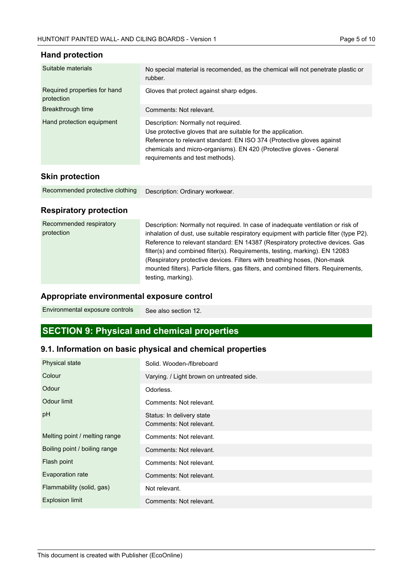| Suitable materials                         | No special material is recomended, as the chemical will not penetrate plastic or<br>rubber.                                                                                                                                                                                            |
|--------------------------------------------|----------------------------------------------------------------------------------------------------------------------------------------------------------------------------------------------------------------------------------------------------------------------------------------|
| Required properties for hand<br>protection | Gloves that protect against sharp edges.                                                                                                                                                                                                                                               |
| Breakthrough time                          | Comments: Not relevant.                                                                                                                                                                                                                                                                |
| Hand protection equipment                  | Description: Normally not required.<br>Use protective gloves that are suitable for the application.<br>Reference to relevant standard: EN ISO 374 (Protective gloves against<br>chemicals and micro-organisms). EN 420 (Protective gloves - General<br>requirements and test methods). |
| <b>Skin protection</b>                     |                                                                                                                                                                                                                                                                                        |

### **Hand protection**

| Recommended protective clothing | Description: Ordinary workwear. |
|---------------------------------|---------------------------------|
|---------------------------------|---------------------------------|

## **Respiratory protection**

| Recommended respiratory<br>protection | Description: Normally not required. In case of inadequate ventilation or risk of<br>inhalation of dust, use suitable respiratory equipment with particle filter (type P2).<br>Reference to relevant standard: EN 14387 (Respiratory protective devices. Gas<br>filter(s) and combined filter(s). Requirements, testing, marking). EN 12083<br>(Respiratory protective devices. Filters with breathing hoses, (Non-mask)<br>mounted filters). Particle filters, gas filters, and combined filters. Requirements,<br>testing, marking). |
|---------------------------------------|---------------------------------------------------------------------------------------------------------------------------------------------------------------------------------------------------------------------------------------------------------------------------------------------------------------------------------------------------------------------------------------------------------------------------------------------------------------------------------------------------------------------------------------|
|---------------------------------------|---------------------------------------------------------------------------------------------------------------------------------------------------------------------------------------------------------------------------------------------------------------------------------------------------------------------------------------------------------------------------------------------------------------------------------------------------------------------------------------------------------------------------------------|

## **Appropriate environmental exposure control**

See also section 12. Environmental exposure controls

# **SECTION 9: Physical and chemical properties**

## **9.1. Information on basic physical and chemical properties**

| Physical state                | Solid. Wooden-/fibreboard                            |
|-------------------------------|------------------------------------------------------|
| Colour                        | Varying. / Light brown on untreated side.            |
| Odour                         | Odorless.                                            |
| Odour limit                   | Comments: Not relevant.                              |
| pH                            | Status: In delivery state<br>Comments: Not relevant. |
| Melting point / melting range | Comments: Not relevant.                              |
| Boiling point / boiling range | Comments: Not relevant.                              |
| Flash point                   | Comments: Not relevant.                              |
| Evaporation rate              | Comments: Not relevant.                              |
| Flammability (solid, gas)     | Not relevant.                                        |
| <b>Explosion limit</b>        | Comments: Not relevant.                              |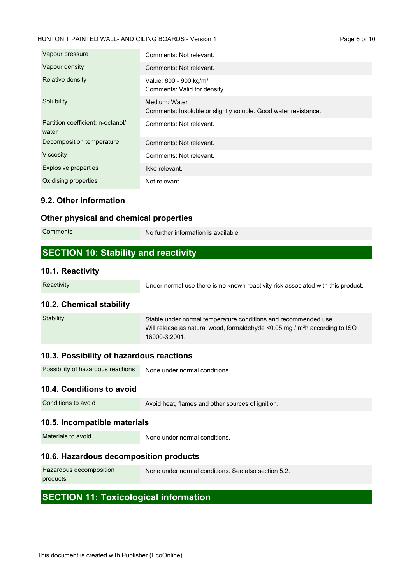| Vapour pressure                            | Comments: Not relevant.                                                          |
|--------------------------------------------|----------------------------------------------------------------------------------|
| Vapour density                             | Comments: Not relevant.                                                          |
| Relative density                           | Value: 800 - 900 kg/m <sup>3</sup><br>Comments: Valid for density.               |
| Solubility                                 | Medium: Water<br>Comments: Insoluble or slightly soluble. Good water resistance. |
| Partition coefficient: n-octanol/<br>water | Comments: Not relevant.                                                          |
| Decomposition temperature                  | Comments: Not relevant.                                                          |
| Viscosity                                  | Comments: Not relevant.                                                          |
| <b>Explosive properties</b>                | Ikke relevant.                                                                   |
| Oxidising properties                       | Not relevant.                                                                    |

### **9.2. Other information**

### **Other physical and chemical properties**

| Comments                                    | No further information is available. |
|---------------------------------------------|--------------------------------------|
| <b>SECTION 10: Stability and reactivity</b> |                                      |

### **10.1. Reactivity**

**Reactivity** 

Under normal use there is no known reactivity risk associated with this product.

### **10.2. Chemical stability**

| Stability | Stable under normal temperature conditions and recommended use.                         |
|-----------|-----------------------------------------------------------------------------------------|
|           | Will release as natural wood, formaldehyde <0.05 mg / m <sup>2</sup> h according to ISO |
|           | 16000-3:2001.                                                                           |

### **10.3. Possibility of hazardous reactions**

| Possibility of hazardous reactions | None under normal conditions. |
|------------------------------------|-------------------------------|
| 10 4 Conditions to avoid           |                               |

### **10.4. Conditions to avoid**

Avoid heat, flames and other sources of ignition.

### **10.5. Incompatible materials**

Materials to avoid

None under normal conditions.

### **10.6. Hazardous decomposition products**

| Hazardous decomposition | None under normal conditions. See also section 5.2. |
|-------------------------|-----------------------------------------------------|
| products                |                                                     |

## **SECTION 11: Toxicological information**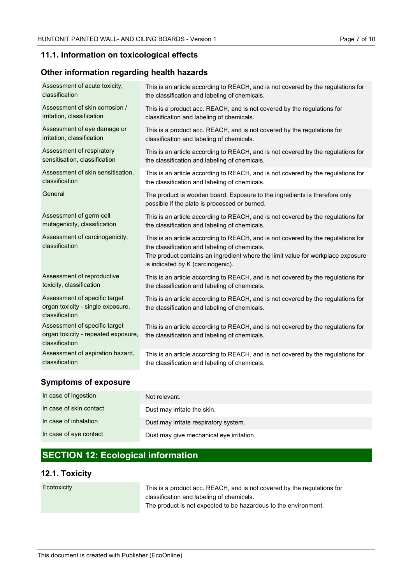### **11.1. Information on toxicological effects**

### **Other information regarding health hazards**

| Assessment of acute toxicity,                                                          | This is an article according to REACH, and is not covered by the regulations for                                                                                                                                                                          |
|----------------------------------------------------------------------------------------|-----------------------------------------------------------------------------------------------------------------------------------------------------------------------------------------------------------------------------------------------------------|
| classification                                                                         | the classification and labeling of chemicals.                                                                                                                                                                                                             |
| Assessment of skin corrosion /                                                         | This is a product acc. REACH, and is not covered by the regulations for                                                                                                                                                                                   |
| irritation, classification                                                             | classification and labeling of chemicals.                                                                                                                                                                                                                 |
| Assessment of eye damage or                                                            | This is a product acc. REACH, and is not covered by the regulations for                                                                                                                                                                                   |
| irritation, classification                                                             | classification and labeling of chemicals.                                                                                                                                                                                                                 |
| Assessment of respiratory                                                              | This is an article according to REACH, and is not covered by the regulations for                                                                                                                                                                          |
| sensitisation, classification                                                          | the classification and labeling of chemicals.                                                                                                                                                                                                             |
| Assessment of skin sensitisation,                                                      | This is an article according to REACH, and is not covered by the regulations for                                                                                                                                                                          |
| classification                                                                         | the classification and labeling of chemicals.                                                                                                                                                                                                             |
| General                                                                                | The product is wooden board. Exposure to the ingredients is therefore only<br>possible if the plate is processed or burned.                                                                                                                               |
| Assessment of germ cell                                                                | This is an article according to REACH, and is not covered by the regulations for                                                                                                                                                                          |
| mutagenicity, classification                                                           | the classification and labeling of chemicals.                                                                                                                                                                                                             |
| Assessment of carcinogenicity,<br>classification                                       | This is an article according to REACH, and is not covered by the regulations for<br>the classification and labeling of chemicals.<br>The product contains an ingredient where the limit value for workplace exposure<br>is indicated by K (carcinogenic). |
| Assessment of reproductive                                                             | This is an article according to REACH, and is not covered by the regulations for                                                                                                                                                                          |
| toxicity, classification                                                               | the classification and labeling of chemicals.                                                                                                                                                                                                             |
| Assessment of specific target<br>organ toxicity - single exposure,<br>classification   | This is an article according to REACH, and is not covered by the regulations for<br>the classification and labeling of chemicals.                                                                                                                         |
| Assessment of specific target<br>organ toxicity - repeated exposure,<br>classification | This is an article according to REACH, and is not covered by the regulations for<br>the classification and labeling of chemicals.                                                                                                                         |
| Assessment of aspiration hazard,                                                       | This is an article according to REACH, and is not covered by the regulations for                                                                                                                                                                          |
| classification                                                                         | the classification and labeling of chemicals.                                                                                                                                                                                                             |

## **Symptoms of exposure**

| In case of ingestion    | Not relevant.                            |
|-------------------------|------------------------------------------|
| In case of skin contact | Dust may irritate the skin.              |
| In case of inhalation   | Dust may irritate respiratory system.    |
| In case of eye contact  | Dust may give mechanical eye irritation. |

# **SECTION 12: Ecological information**

## **12.1. Toxicity**

#### **Ecotoxicity**

This is a product acc. REACH, and is not covered by the regulations for classification and labeling of chemicals. The product is not expected to be hazardous to the environment.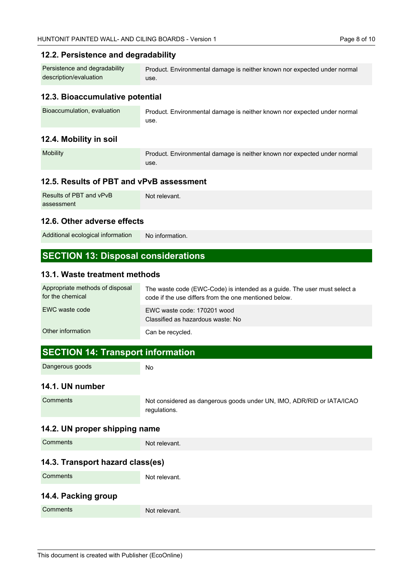### **12.2. Persistence and degradability**

| Persistence and degradability | Product. Environmental damage is neither known nor expected under normal |
|-------------------------------|--------------------------------------------------------------------------|
| description/evaluation        | use.                                                                     |

### **12.3. Bioaccumulative potential**

| Bioaccumulation, evaluation | Product. Environmental damage is neither known nor expected under normal |
|-----------------------------|--------------------------------------------------------------------------|
|                             | use.                                                                     |

## **12.4. Mobility in soil**

| <b>Mobility</b> | Product. Environmental damage is neither known nor expected under normal |
|-----------------|--------------------------------------------------------------------------|
|                 | use.                                                                     |

### **12.5. Results of PBT and vPvB assessment**

| Results of PBT and vPvB | Not relevant. |
|-------------------------|---------------|
| assessment              |               |

#### **12.6. Other adverse effects**

No information. Additional ecological information

## **SECTION 13: Disposal considerations**

#### **13.1. Waste treatment methods**

| Appropriate methods of disposal<br>for the chemical | The waste code (EWC-Code) is intended as a quide. The user must select a<br>code if the use differs from the one mentioned below. |
|-----------------------------------------------------|-----------------------------------------------------------------------------------------------------------------------------------|
| EWC waste code                                      | EWC waste code: 170201 wood<br>Classified as hazardous waste: No                                                                  |
| Other information                                   | Can be recycled.                                                                                                                  |

### **SECTION 14: Transport information**

Dangerous goods

No

#### **14.1. UN number**

```
Comments
```
Not considered as dangerous goods under UN, IMO, ADR/RID or IATA/ICAO regulations.

### **14.2. UN proper shipping name**

| Not relevant. |
|---------------|
|               |

Not relevant.

### **14.3. Transport hazard class(es)**

**Comments** 

# **14.4. Packing group**

| __<br>__ |               |
|----------|---------------|
| Comments | Not relevant. |
|          |               |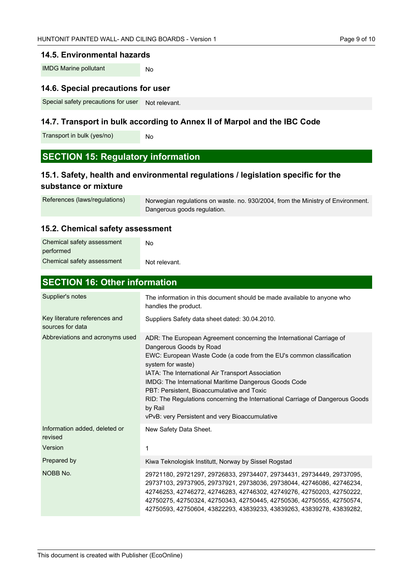#### **14.5. Environmental hazards**

No IMDG Marine pollutant

### **14.6. Special precautions for user**

Not relevant. Special safety precautions for user

### **14.7. Transport in bulk according to Annex II of Marpol and the IBC Code**

Transport in bulk (yes/no)

## **SECTION 15: Regulatory information**

No

## **15.1. Safety, health and environmental regulations / legislation specific for the substance or mixture**

```
Norwegian regulations on waste. no. 930/2004, from the Ministry of Environment.
                                   Dangerous goods regulation.
References (laws/regulations)
```
### **15.2. Chemical safety assessment**

| Chemical safety assessment | N٥            |
|----------------------------|---------------|
| performed                  |               |
| Chemical safety assessment | Not relevant. |

**SECTION 16: Other information**

| <b>SEVITUM TO: ULTRE INTOITMATION</b>             |                                                                                                                                                                                                                                                                                                                                                                                                                                                                                                        |  |
|---------------------------------------------------|--------------------------------------------------------------------------------------------------------------------------------------------------------------------------------------------------------------------------------------------------------------------------------------------------------------------------------------------------------------------------------------------------------------------------------------------------------------------------------------------------------|--|
| Supplier's notes                                  | The information in this document should be made available to anyone who<br>handles the product.                                                                                                                                                                                                                                                                                                                                                                                                        |  |
| Key literature references and<br>sources for data | Suppliers Safety data sheet dated: 30.04.2010.                                                                                                                                                                                                                                                                                                                                                                                                                                                         |  |
| Abbreviations and acronyms used                   | ADR: The European Agreement concerning the International Carriage of<br>Dangerous Goods by Road<br>EWC: European Waste Code (a code from the EU's common classification<br>system for waste)<br>IATA: The International Air Transport Association<br>IMDG: The International Maritime Dangerous Goods Code<br>PBT: Persistent, Bioaccumulative and Toxic<br>RID: The Regulations concerning the International Carriage of Dangerous Goods<br>by Rail<br>vPvB: very Persistent and very Bioaccumulative |  |
| Information added, deleted or<br>revised          | New Safety Data Sheet.                                                                                                                                                                                                                                                                                                                                                                                                                                                                                 |  |
| Version                                           | 1                                                                                                                                                                                                                                                                                                                                                                                                                                                                                                      |  |
| Prepared by                                       | Kiwa Teknologisk Institutt, Norway by Sissel Rogstad                                                                                                                                                                                                                                                                                                                                                                                                                                                   |  |
| NOBB No.                                          | 29721180, 29721297, 29726833, 29734407, 29734431, 29734449, 29737095,<br>29737103, 29737905, 29737921, 29738036, 29738044, 42746086, 42746234,<br>42746253, 42746272, 42746283, 42746302, 42749276, 42750203, 42750222,<br>42750275, 42750324, 42750343, 42750445, 42750536, 42750555, 42750574,<br>42750593, 42750604, 43822293, 43839233, 43839263, 43839278, 43839282,                                                                                                                              |  |